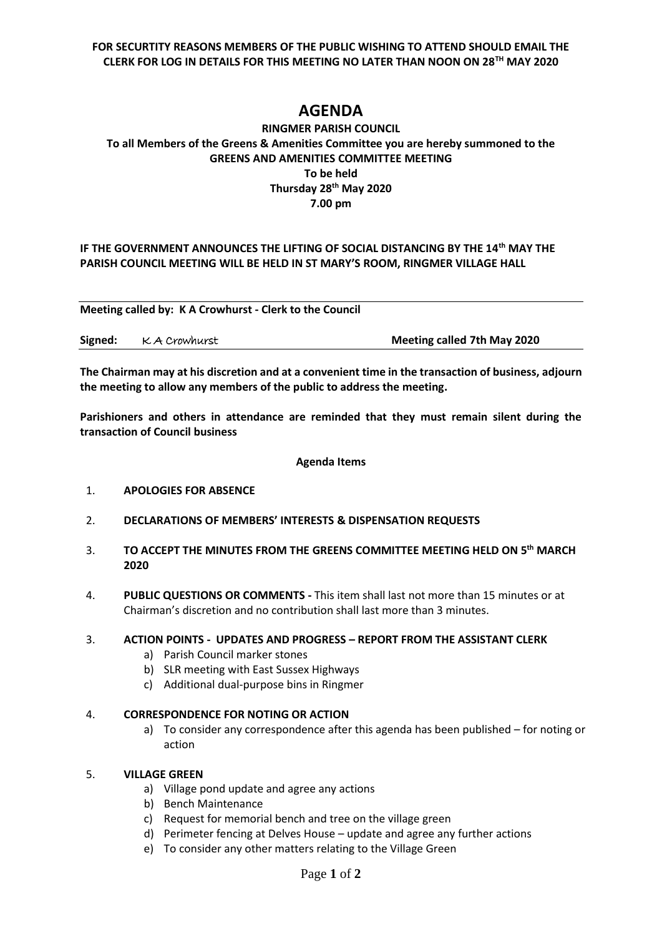**FOR SECURTITY REASONS MEMBERS OF THE PUBLIC WISHING TO ATTEND SHOULD EMAIL THE CLERK FOR LOG IN DETAILS FOR THIS MEETING NO LATER THAN NOON ON 28TH MAY 2020**

# **AGENDA**

# **RINGMER PARISH COUNCIL To all Members of the Greens & Amenities Committee you are hereby summoned to the GREENS AND AMENITIES COMMITTEE MEETING To be held Thursday 28th May 2020 7.00 pm**

## **IF THE GOVERNMENT ANNOUNCES THE LIFTING OF SOCIAL DISTANCING BY THE 14th MAY THE PARISH COUNCIL MEETING WILL BE HELD IN ST MARY'S ROOM, RINGMER VILLAGE HALL**

**Meeting called by: K A Crowhurst - Clerk to the Council** 

| Signed: KA Crowhurst | <b>Meeting called 7th May 2020</b> |
|----------------------|------------------------------------|
|                      |                                    |

**The Chairman may at his discretion and at a convenient time in the transaction of business, adjourn the meeting to allow any members of the public to address the meeting.**

**Parishioners and others in attendance are reminded that they must remain silent during the transaction of Council business**

#### **Agenda Items**

- 1. **APOLOGIES FOR ABSENCE**
- 2. **DECLARATIONS OF MEMBERS' INTERESTS & DISPENSATION REQUESTS**
- 3. **TO ACCEPT THE MINUTES FROM THE GREENS COMMITTEE MEETING HELD ON 5 th MARCH 2020**
- 4. **PUBLIC QUESTIONS OR COMMENTS -** This item shall last not more than 15 minutes or at Chairman's discretion and no contribution shall last more than 3 minutes.

# 3. **ACTION POINTS - UPDATES AND PROGRESS – REPORT FROM THE ASSISTANT CLERK**

- a) Parish Council marker stones
- b) SLR meeting with East Sussex Highways
- c) Additional dual-purpose bins in Ringmer

#### 4. **CORRESPONDENCE FOR NOTING OR ACTION**

a) To consider any correspondence after this agenda has been published – for noting or action

## 5. **VILLAGE GREEN**

- a) Village pond update and agree any actions
- b) Bench Maintenance
- c) Request for memorial bench and tree on the village green
- d) Perimeter fencing at Delves House update and agree any further actions
- e) To consider any other matters relating to the Village Green